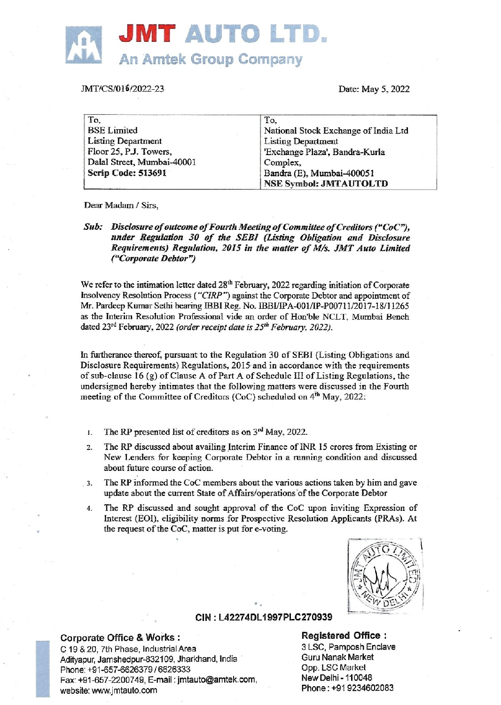

# IMT/CS/016/2022-23

| <b>JMT AUTO LTD.</b>                                                                                                                 |                                                                                                                                                                                      |
|--------------------------------------------------------------------------------------------------------------------------------------|--------------------------------------------------------------------------------------------------------------------------------------------------------------------------------------|
| <b>An Amtek Group Company</b>                                                                                                        |                                                                                                                                                                                      |
| MT/CS/016/2022-23                                                                                                                    | Date: May 5, 2022                                                                                                                                                                    |
| To.<br><b>BSE</b> Limited<br><b>Listing Department</b><br>Floor 25, P.J. Towers,<br>Dalal Street, Mumbai-40001<br>Scrip Code: 513691 | To.<br>National Stock Exchange of India Ltd<br><b>Listing Department</b><br>'Exchange Plaza', Bandra-Kurla<br>Complex,<br>Bandra (E), Mumbai-400051<br><b>NSE Symbol: JMTAUTOLTD</b> |

Dear Madam / Sirs,

Sub: Disclosure of outcome of Fourth Meeting of Committee of Creditors ("CoC"), under Regulation 30 of the SEBI (Listing Obligation and Disclosure Requirements) Regulation, 2015 in the matter of M/s. JMT Auto Limited ("Corporate Debtor")

We refer to the intimation letter dated 28<sup>th</sup> February, 2022 regarding initiation of Corporate insolvency Resolution Process ("CIRP") against the Corporate Debtor and appointment of Mr. Pardeep Kumar Sethi bearing IRBI Reg. No. IBBVIPA-001/1P-P00711/2017-18/11265 as the Interim Resolution Professional vide an order of Hon'ble NCLT, Mumbai Bench dated 23<sup>rd</sup> February, 2022 (order receint date is 25<sup>th</sup> February, 2022).

In furtherance thereof, pursuant to the Regulation 30 of SEBI (Listing Obligations and Disclosure Requirements) Regulations, 2015 and in accordance with the requirements of sub-clause  $16$  (g) of Clause A of Part A of Schedule III of Listing Regulations, the undersigned hereby intimates that the following matters were discussed in the Fourth meeting of the Committee of Creditors (CoC) scheduled on 4<sup>th</sup> May, 2022:

- 1. The RP presented list of creditors as on  $3<sup>rd</sup>$  May, 2022.
- $\overline{2}$ The RP discussed about availing Interim Finance of INR 15 crores from Existing or New Lenders for keeping Corporate Debtor in a running condition and discussed about future course of action.
- 3. The RP informed the CoC members about the various actions taken by him and gave update about the current State of Affairs/operations of the Corporate Debtor
- 4. The RP discussed and sought approval of the CoC upon inviting Expression of Interest (EOI), eligibility norms for Prospective Resolution Applicants (PRAs). At the request of the CoC, matter is put for e-voting.



### CIN : L42274DL1997PLC270939

C<br>Tice & Works :<br>Phase, Industrial Area<br>hedpur-832109, Jharkh<br>-6626379 / 6626333<br>thauto.com<br>tauto.com C 19 & 20, 7th Phase, Industrial Area 3 LSC, Pamposh Enclave 3 LSC, Pamposh Enclave<br>3 Adityorus Jamshedour-832109 - Ibarkhand India Adityapur, Jamshedpur-832109, Jharkhand, India Phone: +91-657-6626379 / 6626333 Fax: +91-657-2200749, E-mail : imtauto@amtek.com, website: www.jmtauto.com

Opp. LSC Market<br>New Delhi - 110048<br>Phone : +91 9234602083 Corporate Office & Works : Registered Office :<br>C 19.8.20. 7th Phase Industrial Area : 8 LSC, Pamposh Enclave